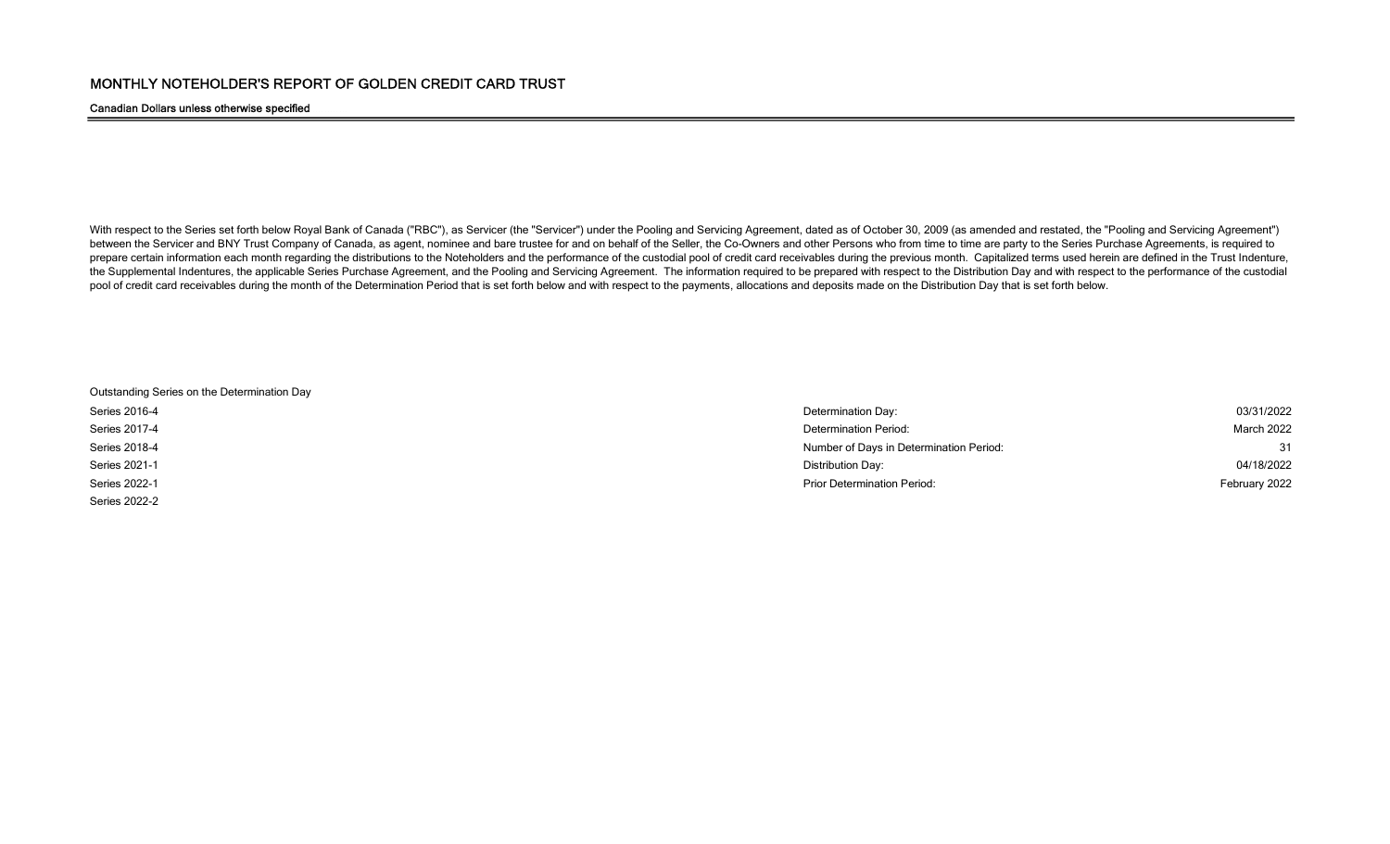# Canadian Dollars unless otherwise specified

With respect to the Series set forth below Royal Bank of Canada ("RBC"), as Servicer (the "Servicer") under the Pooling and Servicing Agreement, dated as of October 30, 2009 (as amended and restated, the "Pooling and Servi between the Servicer and BNY Trust Company of Canada, as agent, nominee and bare trustee for and on behalf of the Seller, the Co-Owners and other Persons who from time to time are party to the Series Purchase Agreements, i prepare certain information each month regarding the distributions to the Noteholders and the performance of the custodial pool of credit card receivables during the previous month. Capitalized terms used herein are define the Supplemental Indentures, the applicable Series Purchase Agreement, and the Pooling and Servicing Agreement. The information required to be prepared with respect to the Distribution Day and with respect to the performan pool of credit card receivables during the month of the Determination Period that is set forth below and with respect to the payments, allocations and deposits made on the Distribution Day that is set forth below.

| Outstanding Series on the Determination Day |  |
|---------------------------------------------|--|
| Series 2016-4                               |  |
| Series 2017-4                               |  |
| Series 2018-4                               |  |
| Series 2021-1                               |  |
| Series 2022-1                               |  |
| Series 2022-2                               |  |

| Series 2016-4 | Determination Day:                      | 03/31/2022    |
|---------------|-----------------------------------------|---------------|
| Series 2017-4 | Determination Period:                   | March 2022    |
| Series 2018-4 | Number of Days in Determination Period: | 31            |
| Series 2021-1 | Distribution Day:                       | 04/18/2022    |
| Series 2022-1 | <b>Prior Determination Period:</b>      | February 2022 |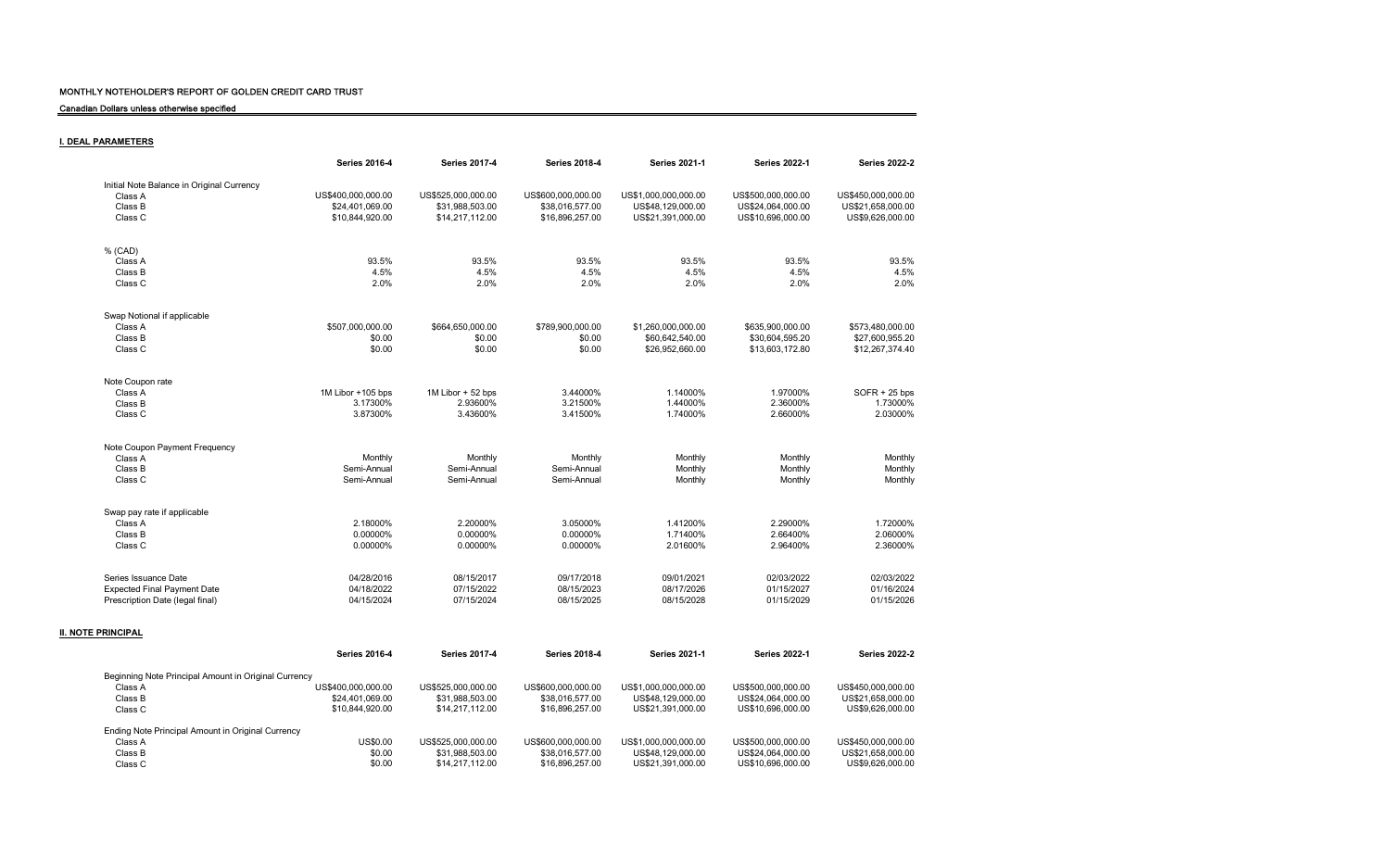Canadian Dollars unless otherwise specified

## I. DEAL PARAMETERS

|                                                      | <b>Series 2016-4</b> | <b>Series 2017-4</b> | <b>Series 2018-4</b> | <b>Series 2021-1</b> | <b>Series 2022-1</b> | <b>Series 2022-2</b> |
|------------------------------------------------------|----------------------|----------------------|----------------------|----------------------|----------------------|----------------------|
| Initial Note Balance in Original Currency            |                      |                      |                      |                      |                      |                      |
| Class A                                              | US\$400,000,000.00   | US\$525,000,000.00   | US\$600,000,000.00   | US\$1,000,000,000.00 | US\$500,000,000.00   | US\$450,000,000.00   |
| Class B                                              | \$24,401,069.00      | \$31,988,503.00      | \$38,016,577.00      | US\$48,129,000.00    | US\$24,064,000.00    | US\$21,658,000.00    |
| Class C                                              | \$10,844,920.00      | \$14,217,112.00      | \$16,896,257.00      | US\$21,391,000.00    | US\$10,696,000.00    | US\$9,626,000.00     |
|                                                      |                      |                      |                      |                      |                      |                      |
| % (CAD)                                              |                      |                      |                      |                      |                      |                      |
| Class A                                              | 93.5%                | 93.5%                | 93.5%                | 93.5%                | 93.5%                | 93.5%                |
| Class B                                              | 4.5%                 | 4.5%                 | 4.5%                 | 4.5%                 | 4.5%                 | 4.5%                 |
|                                                      | 2.0%                 | 2.0%                 | 2.0%                 | 2.0%                 | 2.0%                 | 2.0%                 |
| Class C                                              |                      |                      |                      |                      |                      |                      |
| Swap Notional if applicable                          |                      |                      |                      |                      |                      |                      |
| Class A                                              | \$507,000,000.00     | \$664,650,000.00     | \$789,900,000.00     | \$1,260,000,000.00   | \$635,900,000.00     | \$573,480,000.00     |
| Class B                                              | \$0.00               | \$0.00               | \$0.00               | \$60,642,540.00      | \$30,604,595.20      |                      |
|                                                      |                      |                      |                      |                      |                      | \$27,600,955.20      |
| Class C                                              | \$0.00               | \$0.00               | \$0.00               | \$26,952,660.00      | \$13,603,172.80      | \$12,267,374.40      |
| Note Coupon rate                                     |                      |                      |                      |                      |                      |                      |
| Class A                                              | 1M Libor +105 bps    | 1M Libor + 52 bps    | 3.44000%             | 1.14000%             | 1.97000%             | $SOFR + 25$ bps      |
| Class B                                              | 3.17300%             | 2.93600%             | 3.21500%             | 1.44000%             | 2.36000%             | 1.73000%             |
| Class C                                              | 3.87300%             | 3.43600%             | 3.41500%             | 1.74000%             | 2.66000%             | 2.03000%             |
|                                                      |                      |                      |                      |                      |                      |                      |
| Note Coupon Payment Frequency                        |                      |                      |                      |                      |                      |                      |
| Class A                                              | Monthly              | Monthly              | Monthly              | Monthly              | Monthly              | Monthly              |
| Class B                                              | Semi-Annual          | Semi-Annual          | Semi-Annual          | Monthly              | Monthly              | Monthly              |
| Class C                                              | Semi-Annual          | Semi-Annual          | Semi-Annual          | Monthly              | Monthly              | Monthly              |
|                                                      |                      |                      |                      |                      |                      |                      |
| Swap pay rate if applicable                          |                      |                      |                      |                      |                      |                      |
| Class A                                              | 2.18000%             | 2.20000%             | 3.05000%             | 1.41200%             | 2.29000%             | 1.72000%             |
| Class B                                              | 0.00000%             | 0.00000%             | 0.00000%             | 1.71400%             | 2.66400%             | 2.06000%             |
| Class C                                              | 0.00000%             | 0.00000%             | 0.00000%             | 2.01600%             | 2.96400%             | 2.36000%             |
| Series Issuance Date                                 | 04/28/2016           | 08/15/2017           | 09/17/2018           | 09/01/2021           | 02/03/2022           | 02/03/2022           |
|                                                      |                      |                      |                      |                      |                      |                      |
| <b>Expected Final Payment Date</b>                   | 04/18/2022           | 07/15/2022           | 08/15/2023           | 08/17/2026           | 01/15/2027           | 01/16/2024           |
| Prescription Date (legal final)                      | 04/15/2024           | 07/15/2024           | 08/15/2025           | 08/15/2028           | 01/15/2029           | 01/15/2026           |
| <b>II. NOTE PRINCIPAL</b>                            |                      |                      |                      |                      |                      |                      |
|                                                      | <b>Series 2016-4</b> | <b>Series 2017-4</b> | <b>Series 2018-4</b> | <b>Series 2021-1</b> | <b>Series 2022-1</b> | <b>Series 2022-2</b> |
| Beginning Note Principal Amount in Original Currency |                      |                      |                      |                      |                      |                      |
| Class A                                              | US\$400,000,000.00   | US\$525,000,000.00   | US\$600,000,000.00   | US\$1,000,000,000.00 | US\$500,000,000.00   | US\$450,000,000.00   |
| Class B                                              | \$24,401,069.00      | \$31,988,503.00      | \$38,016,577.00      | US\$48,129,000.00    | US\$24,064,000.00    | US\$21,658,000.00    |
| Class C                                              | \$10,844,920.00      | \$14,217,112.00      | \$16,896,257.00      | US\$21,391,000.00    | US\$10,696,000.00    | US\$9,626,000.00     |
| Ending Note Principal Amount in Original Currency    |                      |                      |                      |                      |                      |                      |
| Class A                                              | US\$0.00             | US\$525,000,000.00   | US\$600,000,000.00   | US\$1,000,000,000.00 | US\$500,000,000.00   | US\$450,000,000.00   |
| Class B                                              | \$0.00               | \$31,988,503.00      | \$38,016,577.00      | US\$48,129,000.00    | US\$24,064,000.00    | US\$21,658,000.00    |
| Class C                                              | \$0.00               | \$14,217,112.00      | \$16,896,257.00      | US\$21,391,000.00    | US\$10,696,000.00    | US\$9,626,000.00     |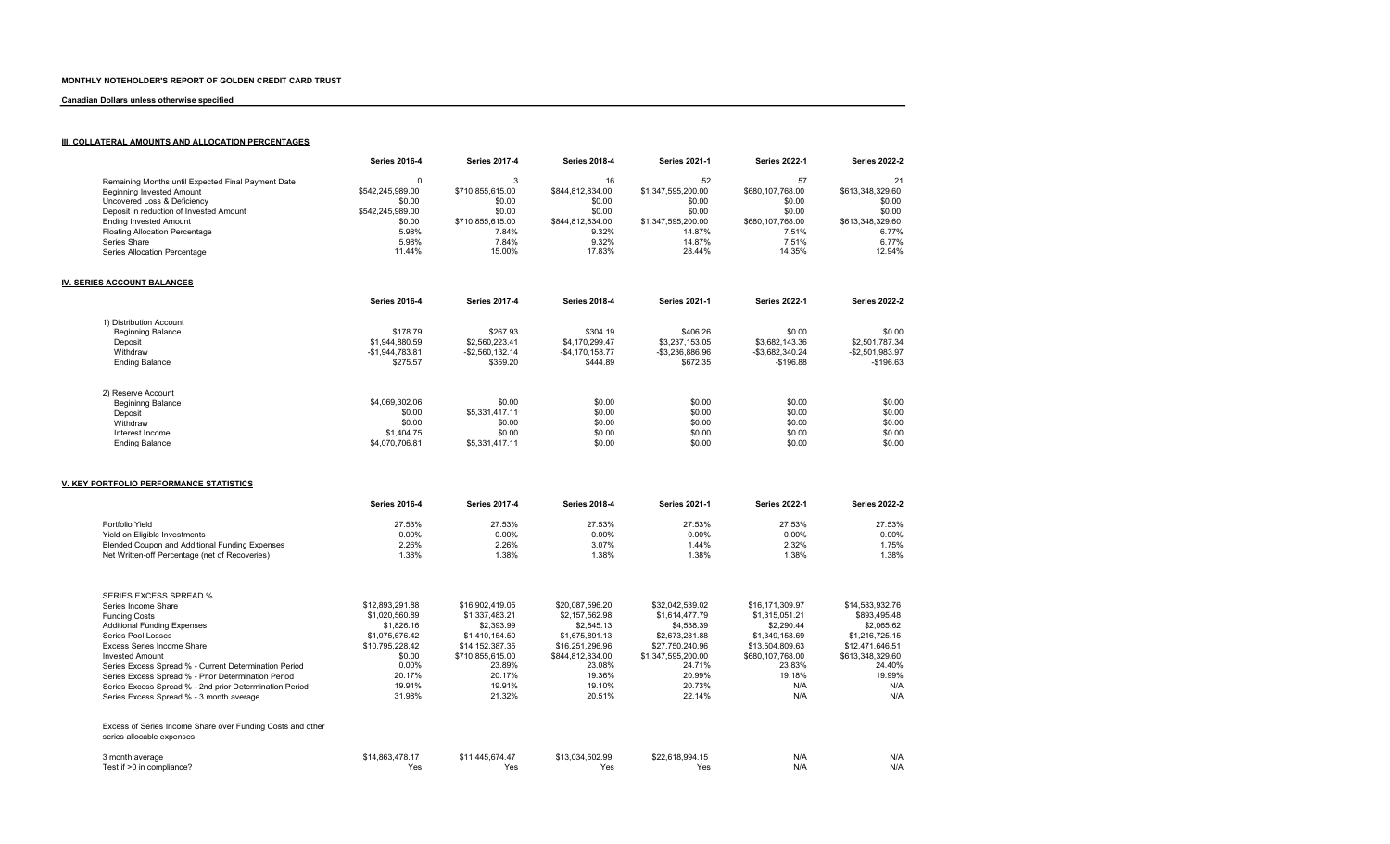## Canadian Dollars unless otherwise specified

## III. COLLATERAL AMOUNTS AND ALLOCATION PERCENTAGES

|                                                    | <b>Series 2016-4</b> | <b>Series 2017-4</b> | <b>Series 2018-4</b> | <b>Series 2021-1</b> | <b>Series 2022-1</b> | <b>Series 2022-2</b> |  |
|----------------------------------------------------|----------------------|----------------------|----------------------|----------------------|----------------------|----------------------|--|
| Remaining Months until Expected Final Payment Date | $\Omega$             | 3                    | 16                   | 52                   | 57                   | 21                   |  |
| <b>Beginning Invested Amount</b>                   | \$542,245,989.00     | \$710,855,615.00     | \$844,812,834.00     | \$1,347,595,200.00   | \$680,107,768.00     | \$613,348,329.60     |  |
| Uncovered Loss & Deficiency                        | \$0.00               | \$0.00               | \$0.00               | \$0.00               | \$0.00               | \$0.00               |  |
| Deposit in reduction of Invested Amount            | \$542,245,989.00     | \$0.00               | \$0.00               | \$0.00               | \$0.00               | \$0.00               |  |
| <b>Ending Invested Amount</b>                      | \$0.00               | \$710,855,615.00     | \$844,812,834.00     | \$1,347,595,200.00   | \$680,107,768.00     | \$613,348,329.60     |  |
| Floating Allocation Percentage                     | 5.98%                | 7.84%                | 9.32%                | 14.87%               | 7.51%                | 6.77%                |  |
| Series Share                                       | 5.98%                | 7.84%                | 9.32%                | 14.87%               | 7.51%                | 6.77%                |  |
| Series Allocation Percentage                       | 11.44%               | 15.00%               | 17.83%               | 28.44%               | 14.35%               | 12.94%               |  |
| <b>IV. SERIES ACCOUNT BALANCES</b>                 |                      |                      |                      |                      |                      |                      |  |
|                                                    | <b>Series 2016-4</b> | <b>Series 2017-4</b> | <b>Series 2018-4</b> | <b>Series 2021-1</b> | <b>Series 2022-1</b> | <b>Series 2022-2</b> |  |
| 1) Distribution Account                            |                      |                      |                      |                      |                      |                      |  |
| <b>Beginning Balance</b>                           | \$178.79             | \$267.93             | \$304.19             | \$406.26             | \$0.00               | \$0.00               |  |
| Deposit                                            | \$1.944.880.59       | \$2,560,223.41       | \$4,170,299.47       | \$3.237.153.05       | \$3.682.143.36       | \$2.501.787.34       |  |
| Withdraw                                           | $-$1.944.783.81$     | $-$2,560,132.14$     | $-$4.170.158.77$     | -\$3,236,886.96      | -\$3,682,340.24      | $-$2,501,983.97$     |  |
| <b>Ending Balance</b>                              | \$275.57             | \$359.20             | \$444.89             | \$672.35             | $-$196.88$           | $-$196.63$           |  |
| 2) Reserve Account                                 |                      |                      |                      |                      |                      |                      |  |
| <b>Begininng Balance</b>                           | \$4,069,302.06       | \$0.00               | \$0.00               | \$0.00               | \$0.00               | \$0.00               |  |
| Deposit                                            | \$0.00               | \$5,331,417.11       | \$0.00               | \$0.00               | \$0.00               | \$0.00               |  |
| Withdraw                                           | \$0.00               | \$0.00               | \$0.00               | \$0.00               | \$0.00               | \$0.00               |  |
| Interest Income                                    | \$1,404.75           | \$0.00               | \$0.00               | \$0.00               | \$0.00               | \$0.00               |  |
| <b>Ending Balance</b>                              | \$4,070,706.81       | \$5,331,417.11       | \$0.00               | \$0.00               | \$0.00               | \$0.00               |  |
|                                                    |                      |                      |                      |                      |                      |                      |  |

## V. KEY PORTFOLIO PERFORMANCE STATISTICS

|                                                                                         | <b>Series 2016-4</b> | <b>Series 2017-4</b> | <b>Series 2018-4</b> | <b>Series 2021-1</b> | <b>Series 2022-1</b> | <b>Series 2022-2</b> |
|-----------------------------------------------------------------------------------------|----------------------|----------------------|----------------------|----------------------|----------------------|----------------------|
| Portfolio Yield                                                                         | 27.53%               | 27.53%               | 27.53%               | 27.53%               | 27.53%               | 27.53%               |
| Yield on Eligible Investments                                                           | $0.00\%$             | 0.00%                | 0.00%                | $0.00\%$             | 0.00%                | $0.00\%$             |
| Blended Coupon and Additional Funding Expenses                                          | 2.26%                | 2.26%                | 3.07%                | 1.44%                | 2.32%                | 1.75%                |
| Net Written-off Percentage (net of Recoveries)                                          | 1.38%                | 1.38%                | 1.38%                | 1.38%                | 1.38%                | 1.38%                |
| <b>SERIES EXCESS SPREAD %</b>                                                           |                      |                      |                      |                      |                      |                      |
| Series Income Share                                                                     | \$12,893,291.88      | \$16,902,419.05      | \$20,087,596.20      | \$32,042,539.02      | \$16,171,309.97      | \$14,583,932.76      |
| <b>Funding Costs</b>                                                                    | \$1,020,560.89       | \$1.337.483.21       | \$2.157.562.98       | \$1,614,477.79       | \$1,315,051.21       | \$893,495.48         |
| <b>Additional Funding Expenses</b>                                                      | \$1,826.16           | \$2,393.99           | \$2,845.13           | \$4,538.39           | \$2,290.44           | \$2,065.62           |
| Series Pool Losses                                                                      | \$1,075,676.42       | \$1,410,154.50       | \$1,675,891.13       | \$2,673,281.88       | \$1,349,158.69       | \$1,216,725.15       |
| Excess Series Income Share                                                              | \$10,795,228.42      | \$14,152,387.35      | \$16,251,296.96      | \$27,750,240.96      | \$13,504,809.63      | \$12.471.646.51      |
| <b>Invested Amount</b>                                                                  | \$0.00               | \$710,855,615.00     | \$844,812,834.00     | \$1,347,595,200.00   | \$680,107,768.00     | \$613,348,329.60     |
| Series Excess Spread % - Current Determination Period                                   | 0.00%                | 23.89%               | 23.08%               | 24.71%               | 23.83%               | 24.40%               |
| Series Excess Spread % - Prior Determination Period                                     | 20.17%               | 20.17%               | 19.36%               | 20.99%               | 19.18%               | 19.99%               |
| Series Excess Spread % - 2nd prior Determination Period                                 | 19.91%               | 19.91%               | 19.10%               | 20.73%               | N/A                  | N/A                  |
| Series Excess Spread % - 3 month average                                                | 31.98%               | 21.32%               | 20.51%               | 22.14%               | N/A                  | N/A                  |
| Excess of Series Income Share over Funding Costs and other<br>series allocable expenses |                      |                      |                      |                      |                      |                      |
| 3 month average                                                                         | \$14,863,478.17      | \$11,445,674.47      | \$13,034,502.99      | \$22,618,994.15      | N/A                  | N/A                  |
| Test if >0 in compliance?                                                               | Yes                  | Yes                  | Yes                  | Yes                  | N/A                  | N/A                  |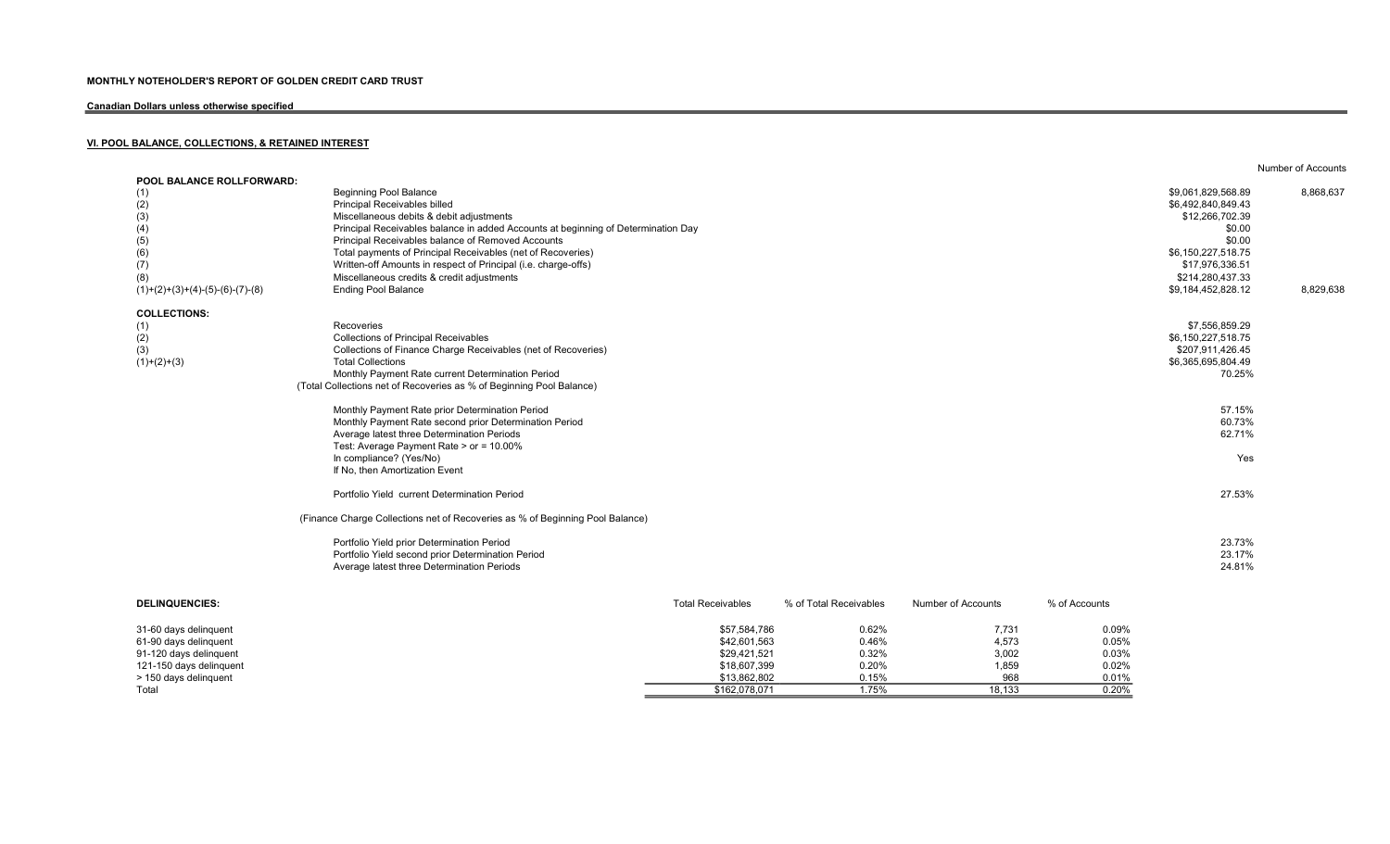# Canadian Dollars unless otherwise specified

# VI. POOL BALANCE, COLLECTIONS, & RETAINED INTEREST

| <b>Beginning Pool Balance</b>                                  |                                                                                                                                                                                                                                                                                                      |                                                                                   |  | 8,868,637                                                                                                                                                                                   |
|----------------------------------------------------------------|------------------------------------------------------------------------------------------------------------------------------------------------------------------------------------------------------------------------------------------------------------------------------------------------------|-----------------------------------------------------------------------------------|--|---------------------------------------------------------------------------------------------------------------------------------------------------------------------------------------------|
| Principal Receivables billed                                   |                                                                                                                                                                                                                                                                                                      |                                                                                   |  |                                                                                                                                                                                             |
|                                                                |                                                                                                                                                                                                                                                                                                      |                                                                                   |  | \$12,266,702.39                                                                                                                                                                             |
|                                                                |                                                                                                                                                                                                                                                                                                      |                                                                                   |  | \$0.00                                                                                                                                                                                      |
| Principal Receivables balance of Removed Accounts              |                                                                                                                                                                                                                                                                                                      |                                                                                   |  | \$0.00                                                                                                                                                                                      |
| Total payments of Principal Receivables (net of Recoveries)    |                                                                                                                                                                                                                                                                                                      |                                                                                   |  |                                                                                                                                                                                             |
| Written-off Amounts in respect of Principal (i.e. charge-offs) |                                                                                                                                                                                                                                                                                                      |                                                                                   |  |                                                                                                                                                                                             |
| Miscellaneous credits & credit adjustments                     |                                                                                                                                                                                                                                                                                                      |                                                                                   |  |                                                                                                                                                                                             |
| <b>Ending Pool Balance</b>                                     |                                                                                                                                                                                                                                                                                                      |                                                                                   |  | 8,829,638                                                                                                                                                                                   |
|                                                                |                                                                                                                                                                                                                                                                                                      |                                                                                   |  |                                                                                                                                                                                             |
| Recoveries                                                     |                                                                                                                                                                                                                                                                                                      |                                                                                   |  | \$7,556,859.29                                                                                                                                                                              |
| <b>Collections of Principal Receivables</b>                    |                                                                                                                                                                                                                                                                                                      |                                                                                   |  |                                                                                                                                                                                             |
| Collections of Finance Charge Receivables (net of Recoveries)  |                                                                                                                                                                                                                                                                                                      |                                                                                   |  |                                                                                                                                                                                             |
| <b>Total Collections</b>                                       |                                                                                                                                                                                                                                                                                                      |                                                                                   |  |                                                                                                                                                                                             |
| Monthly Payment Rate current Determination Period              |                                                                                                                                                                                                                                                                                                      |                                                                                   |  | 70.25%                                                                                                                                                                                      |
|                                                                |                                                                                                                                                                                                                                                                                                      |                                                                                   |  |                                                                                                                                                                                             |
| Monthly Payment Rate prior Determination Period                |                                                                                                                                                                                                                                                                                                      |                                                                                   |  | 57.15%                                                                                                                                                                                      |
| Monthly Payment Rate second prior Determination Period         |                                                                                                                                                                                                                                                                                                      |                                                                                   |  | 60.73%                                                                                                                                                                                      |
|                                                                |                                                                                                                                                                                                                                                                                                      |                                                                                   |  | 62.71%                                                                                                                                                                                      |
| Test: Average Payment Rate > or = 10.00%                       |                                                                                                                                                                                                                                                                                                      |                                                                                   |  |                                                                                                                                                                                             |
| In compliance? (Yes/No)                                        |                                                                                                                                                                                                                                                                                                      |                                                                                   |  | Yes                                                                                                                                                                                         |
| If No, then Amortization Event                                 |                                                                                                                                                                                                                                                                                                      |                                                                                   |  |                                                                                                                                                                                             |
| Portfolio Yield current Determination Period                   |                                                                                                                                                                                                                                                                                                      |                                                                                   |  | 27.53%                                                                                                                                                                                      |
|                                                                |                                                                                                                                                                                                                                                                                                      |                                                                                   |  |                                                                                                                                                                                             |
| Portfolio Yield prior Determination Period                     |                                                                                                                                                                                                                                                                                                      |                                                                                   |  | 23.73%                                                                                                                                                                                      |
|                                                                |                                                                                                                                                                                                                                                                                                      |                                                                                   |  | 23.17%                                                                                                                                                                                      |
| Average latest three Determination Periods                     |                                                                                                                                                                                                                                                                                                      |                                                                                   |  | 24.81%                                                                                                                                                                                      |
|                                                                |                                                                                                                                                                                                                                                                                                      |                                                                                   |  |                                                                                                                                                                                             |
|                                                                | Miscellaneous debits & debit adjustments<br>(Total Collections net of Recoveries as % of Beginning Pool Balance)<br>Average latest three Determination Periods<br>(Finance Charge Collections net of Recoveries as % of Beginning Pool Balance)<br>Portfolio Yield second prior Determination Period | Principal Receivables balance in added Accounts at beginning of Determination Day |  | \$9,061,829,568.89<br>\$6,492,840,849.43<br>\$6,150,227,518.75<br>\$17,976,336.51<br>\$214,280,437.33<br>\$9,184,452,828.12<br>\$6,150,227,518.75<br>\$207,911,426.45<br>\$6,365,695,804.49 |

Number of Accounts

| 31-60 days delinguent   | \$57,584,786  | 0.62% | 7,731  | 0.09% |
|-------------------------|---------------|-------|--------|-------|
| 61-90 days delinquent   | \$42,601,563  | 0.46% | 4,573  | 0.05% |
| 91-120 days delinguent  | \$29,421,521  | 0.32% | 3,002  | 0.03% |
| 121-150 days delinguent | \$18,607,399  | 0.20% | 859.   | 0.02% |
| > 150 days delinguent   | \$13.862.802  | 0.15% | 968    | 0.01% |
| Total                   | \$162,078,071 | 1.75% | 18.133 | 0.20% |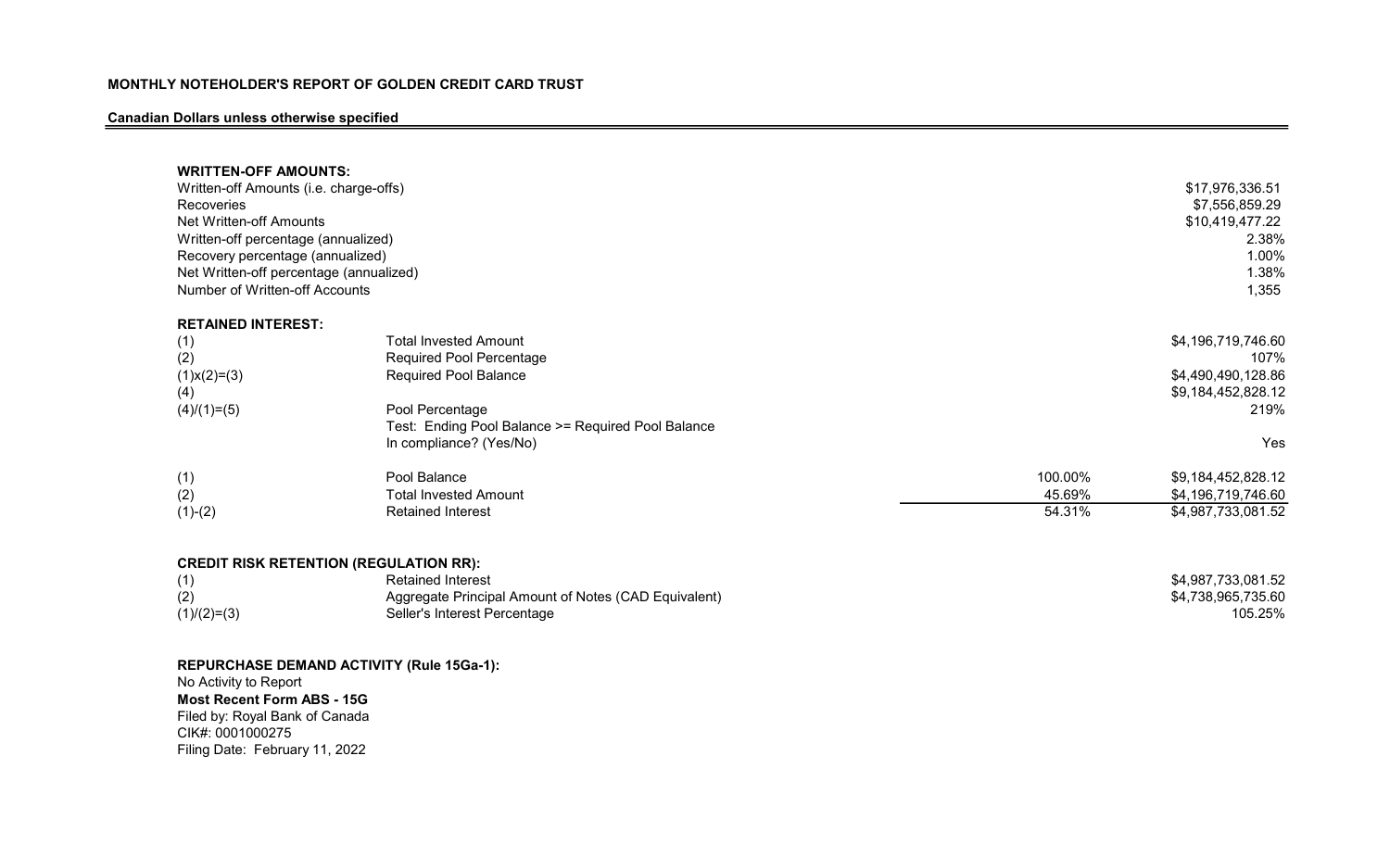# Canadian Dollars unless otherwise specified

| <b>WRITTEN-OFF AMOUNTS:</b><br>Written-off Amounts (i.e. charge-offs)<br>Recoveries<br>Net Written-off Amounts<br>Written-off percentage (annualized)<br>Recovery percentage (annualized)<br>Net Written-off percentage (annualized)<br>Number of Written-off Accounts |                                                                                                                                                                                                     |                   | \$17,976,336.51<br>\$7,556,859.29<br>\$10,419,477.22<br>2.38%<br>1.00%<br>1.38%<br>1,355 |
|------------------------------------------------------------------------------------------------------------------------------------------------------------------------------------------------------------------------------------------------------------------------|-----------------------------------------------------------------------------------------------------------------------------------------------------------------------------------------------------|-------------------|------------------------------------------------------------------------------------------|
| <b>RETAINED INTEREST:</b>                                                                                                                                                                                                                                              |                                                                                                                                                                                                     |                   |                                                                                          |
| (1)<br>(2)<br>$(1)$ x $(2)$ = $(3)$<br>(4)<br>$(4)/(1)=(5)$                                                                                                                                                                                                            | <b>Total Invested Amount</b><br><b>Required Pool Percentage</b><br><b>Required Pool Balance</b><br>Pool Percentage<br>Test: Ending Pool Balance >= Required Pool Balance<br>In compliance? (Yes/No) |                   | \$4,196,719,746.60<br>107%<br>\$4,490,490,128.86<br>\$9,184,452,828.12<br>219%<br>Yes    |
|                                                                                                                                                                                                                                                                        |                                                                                                                                                                                                     |                   |                                                                                          |
| (1)<br>(2)                                                                                                                                                                                                                                                             | Pool Balance<br><b>Total Invested Amount</b>                                                                                                                                                        | 100.00%<br>45.69% | \$9,184,452,828.12<br>\$4,196,719,746.60                                                 |
| $(1)-(2)$                                                                                                                                                                                                                                                              | <b>Retained Interest</b>                                                                                                                                                                            | 54.31%            | \$4,987,733,081.52                                                                       |
| <b>CREDIT RISK RETENTION (REGULATION RR):</b><br>(1)<br>(2)<br>$(1)/(2)=(3)$                                                                                                                                                                                           | <b>Retained Interest</b><br>Aggregate Principal Amount of Notes (CAD Equivalent)<br>Seller's Interest Percentage                                                                                    |                   | \$4,987,733,081.52<br>\$4,738,965,735.60<br>105.25%                                      |

# REPURCHASE DEMAND ACTIVITY (Rule 15Ga-1): No Activity to Report

Most Recent Form ABS - 15G Filed by: Royal Bank of Canada CIK#: 0001000275 Filing Date: February 11, 2022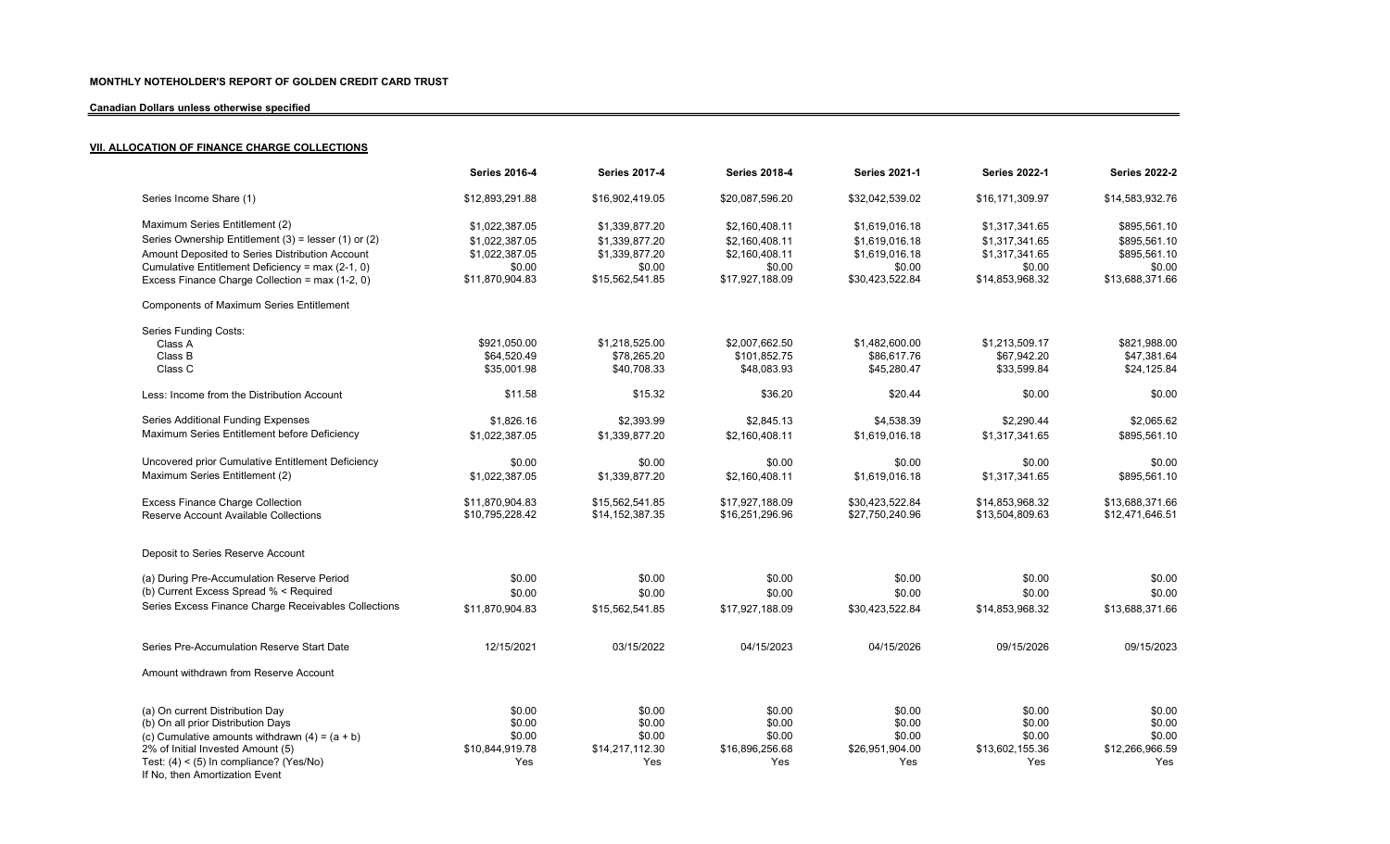# Canadian Dollars unless otherwise specified

# **VII. ALLOCATION OF FINANCE CHARGE COLLECTIONS**

|                                                      | <b>Series 2016-4</b> | <b>Series 2017-4</b> | <b>Series 2018-4</b> | <b>Series 2021-1</b> | <b>Series 2022-1</b> | <b>Series 2022-2</b> |
|------------------------------------------------------|----------------------|----------------------|----------------------|----------------------|----------------------|----------------------|
| Series Income Share (1)                              | \$12,893,291.88      | \$16,902,419.05      | \$20,087,596.20      | \$32,042,539.02      | \$16,171,309.97      | \$14,583,932.76      |
| Maximum Series Entitlement (2)                       | \$1,022,387.05       | \$1,339,877.20       | \$2,160,408.11       | \$1,619,016.18       | \$1,317,341.65       | \$895,561.10         |
| Series Ownership Entitlement (3) = lesser (1) or (2) | \$1,022,387.05       | \$1,339,877.20       | \$2,160,408.11       | \$1,619,016.18       | \$1,317,341.65       | \$895,561.10         |
| Amount Deposited to Series Distribution Account      | \$1,022,387.05       | \$1,339,877.20       | \$2,160,408.11       | \$1,619,016.18       | \$1,317,341.65       | \$895,561.10         |
| Cumulative Entitlement Deficiency = max (2-1, 0)     |                      | \$0.00               |                      |                      | \$0.00               | \$0.00               |
|                                                      | \$0.00               |                      | \$0.00               | \$0.00               |                      |                      |
| Excess Finance Charge Collection = max (1-2, 0)      | \$11,870,904.83      | \$15,562,541.85      | \$17,927,188.09      | \$30,423,522.84      | \$14,853,968.32      | \$13,688,371.66      |
| <b>Components of Maximum Series Entitlement</b>      |                      |                      |                      |                      |                      |                      |
| <b>Series Funding Costs:</b>                         |                      |                      |                      |                      |                      |                      |
| Class A                                              | \$921,050.00         | \$1,218,525.00       | \$2,007,662.50       | \$1,482,600.00       | \$1,213,509.17       | \$821,988.00         |
| Class B                                              | \$64,520.49          | \$78,265.20          | \$101,852.75         | \$86,617.76          | \$67,942.20          | \$47,381.64          |
| Class C                                              | \$35,001.98          | \$40,708.33          | \$48,083.93          | \$45,280.47          | \$33,599.84          | \$24,125.84          |
|                                                      |                      |                      |                      |                      |                      |                      |
| Less: Income from the Distribution Account           | \$11.58              | \$15.32              | \$36.20              | \$20.44              | \$0.00               | \$0.00               |
| Series Additional Funding Expenses                   | \$1.826.16           | \$2.393.99           | \$2.845.13           | \$4.538.39           | \$2.290.44           | \$2,065.62           |
| Maximum Series Entitlement before Deficiency         | \$1,022,387.05       | \$1,339,877.20       | \$2,160,408.11       | \$1,619,016.18       | \$1,317,341.65       | \$895,561.10         |
|                                                      |                      |                      |                      |                      |                      |                      |
| Uncovered prior Cumulative Entitlement Deficiency    | \$0.00               | \$0.00               | \$0.00               | \$0.00               | \$0.00               | \$0.00               |
| Maximum Series Entitlement (2)                       | \$1,022,387.05       | \$1,339,877.20       | \$2.160.408.11       | \$1.619.016.18       | \$1.317.341.65       | \$895,561.10         |
| <b>Excess Finance Charge Collection</b>              | \$11,870,904.83      | \$15,562,541.85      | \$17,927,188.09      | \$30,423,522.84      | \$14,853,968.32      | \$13,688,371.66      |
| Reserve Account Available Collections                | \$10,795,228.42      | \$14,152,387.35      | \$16,251,296.96      | \$27,750,240.96      | \$13,504,809.63      | \$12,471,646.51      |
|                                                      |                      |                      |                      |                      |                      |                      |
| Deposit to Series Reserve Account                    |                      |                      |                      |                      |                      |                      |
|                                                      |                      |                      |                      |                      |                      |                      |
| (a) During Pre-Accumulation Reserve Period           | \$0.00               | \$0.00               | \$0.00               | \$0.00               | \$0.00               | \$0.00               |
| (b) Current Excess Spread % < Required               | \$0.00               | \$0.00               | \$0.00               | \$0.00               | \$0.00               | \$0.00               |
| Series Excess Finance Charge Receivables Collections | \$11,870,904.83      | \$15,562,541.85      | \$17,927,188.09      | \$30,423,522.84      | \$14,853,968.32      | \$13,688,371.66      |
|                                                      |                      |                      |                      |                      |                      |                      |
| Series Pre-Accumulation Reserve Start Date           | 12/15/2021           | 03/15/2022           | 04/15/2023           | 04/15/2026           | 09/15/2026           | 09/15/2023           |
|                                                      |                      |                      |                      |                      |                      |                      |
| Amount withdrawn from Reserve Account                |                      |                      |                      |                      |                      |                      |
|                                                      |                      |                      |                      |                      |                      |                      |
| (a) On current Distribution Day                      | \$0.00               | \$0.00               | \$0.00               | \$0.00               | \$0.00               | \$0.00               |
| (b) On all prior Distribution Days                   | \$0.00               | \$0.00               | \$0.00               | \$0.00               | \$0.00               | \$0.00               |
| (c) Cumulative amounts withdrawn $(4) = (a + b)$     | \$0.00               | \$0.00               | \$0.00               | \$0.00               | \$0.00               | \$0.00               |
| 2% of Initial Invested Amount (5)                    | \$10,844,919.78      | \$14,217,112.30      | \$16,896,256.68      | \$26,951,904.00      | \$13,602,155.36      | \$12,266,966.59      |
| Test: $(4) < (5)$ In compliance? (Yes/No)            | Yes                  | Yes                  | Yes                  | Yes                  | Yes                  | Yes                  |
| If No, then Amortization Event                       |                      |                      |                      |                      |                      |                      |